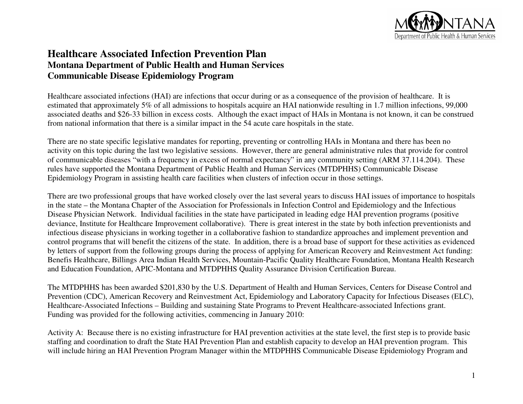

# **Healthcare Associated Infection Prevention Plan Montana Department of Public Health and Human Services Communicable Disease Epidemiology Program**

Healthcare associated infections (HAI) are infections that occur during or as a consequence of the provision of healthcare. It is estimated that approximately 5% of all admissions to hospitals acquire an HAI nationwide resulting in 1.7 million infections, 99,000 associated deaths and \$26-33 billion in excess costs. Although the exact impact of HAIs in Montana is not known, it can be construed from national information that there is a similar impact in the 54 acute care hospitals in the state.

There are no state specific legislative mandates for reporting, preventing or controlling HAIs in Montana and there has been no activity on this topic during the last two legislative sessions. However, there are general administrative rules that provide for control of communicable diseases "with a frequency in excess of normal expectancy" in any community setting (ARM 37.114.204). These rules have supported the Montana Department of Public Health and Human Services (MTDPHHS) Communicable Disease Epidemiology Program in assisting health care facilities when clusters of infection occur in those settings.

There are two professional groups that have worked closely over the last several years to discuss HAI issues of importance to hospitals in the state – the Montana Chapter of the Association for Professionals in Infection Control and Epidemiology and the Infectious Disease Physician Network. Individual facilities in the state have participated in leading edge HAI prevention programs (positive deviance, Institute for Healthcare Improvement collaborative). There is great interest in the state by both infection preventionists and infectious disease physicians in working together in a collaborative fashion to standardize approaches and implement prevention and control programs that will benefit the citizens of the state. In addition, there is a broad base of support for these activities as evidenced by letters of support from the following groups during the process of applying for American Recovery and Reinvestment Act funding: Benefis Healthcare, Billings Area Indian Health Services, Mountain-Pacific Quality Healthcare Foundation, Montana Health Research and Education Foundation, APIC-Montana and MTDPHHS Quality Assurance Division Certification Bureau.

The MTDPHHS has been awarded \$201,830 by the U.S. Department of Health and Human Services, Centers for Disease Control and Prevention (CDC), American Recovery and Reinvestment Act, Epidemiology and Laboratory Capacity for Infectious Diseases (ELC), Healthcare-Associated Infections – Building and sustaining State Programs to Prevent Healthcare-associated Infections grant. Funding was provided for the following activities, commencing in January 2010:

Activity A: Because there is no existing infrastructure for HAI prevention activities at the state level, the first step is to provide basic staffing and coordination to draft the State HAI Prevention Plan and establish capacity to develop an HAI prevention program. This will include hiring an HAI Prevention Program Manager within the MTDPHHS Communicable Disease Epidemiology Program and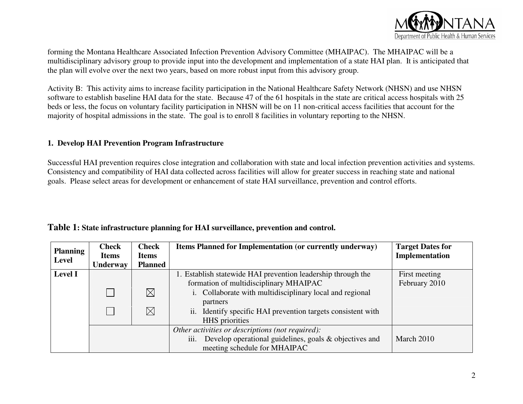

forming the Montana Healthcare Associated Infection Prevention Advisory Committee (MHAIPAC). The MHAIPAC will be a multidisciplinary advisory group to provide input into the development and implementation of a state HAI plan. It is anticipated that the plan will evolve over the next two years, based on more robust input from this advisory group.

Activity B: This activity aims to increase facility participation in the National Healthcare Safety Network (NHSN) and use NHSN software to establish baseline HAI data for the state. Because 47 of the 61 hospitals in the state are critical access hospitals with 25 beds or less, the focus on voluntary facility participation in NHSN will be on 11 non-critical access facilities that account for the majority of hospital admissions in the state. The goal is to enroll 8 facilities in voluntary reporting to the NHSN.

#### **1. Develop HAI Prevention Program Infrastructure**

Successful HAI prevention requires close integration and collaboration with state and local infection prevention activities and systems. Consistency and compatibility of HAI data collected across facilities will allow for greater success in reaching state and national goals. Please select areas for development or enhancement of state HAI surveillance, prevention and control efforts.

| <b>Planning</b> | <b>Check</b><br><b>Items</b> | <b>Check</b><br><b>Items</b> | <b>Items Planned for Implementation (or currently underway)</b> | <b>Target Dates for</b><br>Implementation |
|-----------------|------------------------------|------------------------------|-----------------------------------------------------------------|-------------------------------------------|
| Level           | <b>Underway</b>              | <b>Planned</b>               |                                                                 |                                           |
| Level I         |                              |                              | 1. Establish statewide HAI prevention leadership through the    | First meeting                             |
|                 |                              |                              | formation of multidisciplinary MHAIPAC                          | February 2010                             |
|                 |                              | $\boxtimes$                  | i. Collaborate with multidisciplinary local and regional        |                                           |
|                 |                              |                              | partners                                                        |                                           |
|                 |                              | $\boxtimes$                  | ii. Identify specific HAI prevention targets consistent with    |                                           |
|                 |                              |                              |                                                                 |                                           |
|                 |                              |                              | Other activities or descriptions (not required):                |                                           |
|                 |                              |                              | Develop operational guidelines, goals & objectives and<br>111.  | March 2010                                |
|                 |                              |                              | meeting schedule for MHAIPAC                                    |                                           |

**Table 1: State infrastructure planning for HAI surveillance, prevention and control.**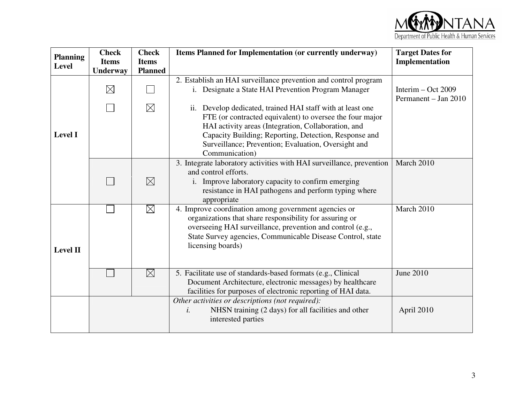

| <b>Planning</b><br><b>Level</b> | <b>Check</b><br><b>Items</b><br><b>Underway</b> | <b>Check</b><br><b>Items</b><br><b>Planned</b> | Items Planned for Implementation (or currently underway)                                                                                                                                                                                                                                                        | <b>Target Dates for</b><br>Implementation    |
|---------------------------------|-------------------------------------------------|------------------------------------------------|-----------------------------------------------------------------------------------------------------------------------------------------------------------------------------------------------------------------------------------------------------------------------------------------------------------------|----------------------------------------------|
|                                 | $\boxtimes$                                     |                                                | 2. Establish an HAI surveillance prevention and control program<br>i. Designate a State HAI Prevention Program Manager                                                                                                                                                                                          | Interim $-$ Oct 2009<br>Permanent – Jan 2010 |
| <b>Level I</b>                  |                                                 | $\boxtimes$                                    | ii. Develop dedicated, trained HAI staff with at least one<br>FTE (or contracted equivalent) to oversee the four major<br>HAI activity areas (Integration, Collaboration, and<br>Capacity Building; Reporting, Detection, Response and<br>Surveillance; Prevention; Evaluation, Oversight and<br>Communication) |                                              |
|                                 |                                                 | $\boxtimes$                                    | 3. Integrate laboratory activities with HAI surveillance, prevention<br>and control efforts.<br>i. Improve laboratory capacity to confirm emerging<br>resistance in HAI pathogens and perform typing where<br>appropriate                                                                                       | March 2010                                   |
| <b>Level II</b>                 |                                                 | $\boxtimes$                                    | 4. Improve coordination among government agencies or<br>organizations that share responsibility for assuring or<br>overseeing HAI surveillance, prevention and control (e.g.,<br>State Survey agencies, Communicable Disease Control, state<br>licensing boards)                                                | March 2010                                   |
|                                 |                                                 | $\boxtimes$                                    | 5. Facilitate use of standards-based formats (e.g., Clinical<br>Document Architecture, electronic messages) by healthcare<br>facilities for purposes of electronic reporting of HAI data.                                                                                                                       | <b>June 2010</b>                             |
|                                 |                                                 |                                                | Other activities or descriptions (not required):<br>NHSN training (2 days) for all facilities and other<br>i.<br>interested parties                                                                                                                                                                             | April 2010                                   |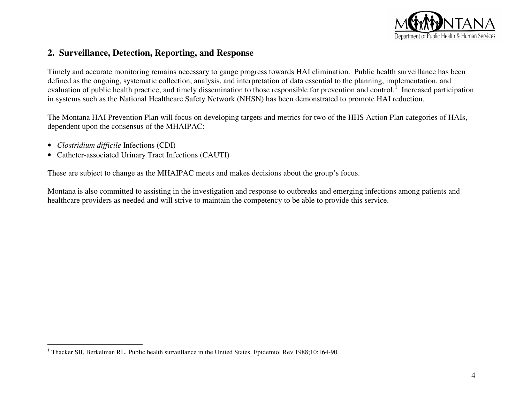

## **2. Surveillance, Detection, Reporting, and Response**

Timely and accurate monitoring remains necessary to gauge progress towards HAI elimination. Public health surveillance has been defined as the ongoing, systematic collection, analysis, and interpretation of data essential to the planning, implementation, and evaluation of public health practice, and timely dissemination to those responsible for prevention and control.<sup>1</sup> Increased participation in systems such as the National Healthcare Safety Network (NHSN) has been demonstrated to promote HAI reduction.

The Montana HAI Prevention Plan will focus on developing targets and metrics for two of the HHS Action Plan categories of HAIs, dependent upon the consensus of the MHAIPAC:

- *Clostridium difficile* Infections (CDI)
- Catheter-associated Urinary Tract Infections (CAUTI)

These are subject to change as the MHAIPAC meets and makes decisions about the group's focus.

Montana is also committed to assisting in the investigation and response to outbreaks and emerging infections among patients and healthcare providers as needed and will strive to maintain the competency to be able to provide this service.

<sup>&</sup>lt;sup>1</sup> Thacker SB, Berkelman RL. Public health surveillance in the United States. Epidemiol Rev 1988;10:164-90.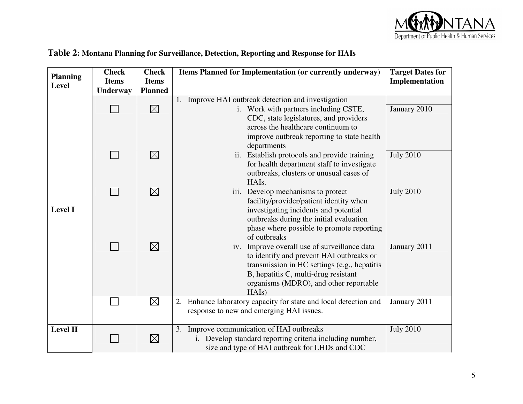

| <b>Planning</b> | <b>Check</b><br>Items Planned for Implementation (or currently underway)<br><b>Check</b> |                                    | <b>Target Dates for</b>                                                                  |                  |
|-----------------|------------------------------------------------------------------------------------------|------------------------------------|------------------------------------------------------------------------------------------|------------------|
| <b>Level</b>    | <b>Items</b><br>Underway                                                                 | <b>Items</b><br><b>Planned</b>     |                                                                                          | Implementation   |
|                 |                                                                                          |                                    | 1. Improve HAI outbreak detection and investigation                                      |                  |
|                 |                                                                                          | $\boxtimes$                        | i. Work with partners including CSTE,                                                    | January 2010     |
|                 |                                                                                          |                                    | CDC, state legislatures, and providers                                                   |                  |
|                 |                                                                                          |                                    | across the healthcare continuum to<br>improve outbreak reporting to state health         |                  |
|                 |                                                                                          |                                    | departments                                                                              |                  |
|                 |                                                                                          | $\boxtimes$                        | ii. Establish protocols and provide training                                             | <b>July 2010</b> |
|                 |                                                                                          |                                    | for health department staff to investigate                                               |                  |
|                 |                                                                                          |                                    | outbreaks, clusters or unusual cases of<br>HAIs.                                         |                  |
|                 | $\boxtimes$                                                                              | iii. Develop mechanisms to protect | <b>July 2010</b>                                                                         |                  |
| <b>Level I</b>  |                                                                                          |                                    | facility/provider/patient identity when                                                  |                  |
|                 |                                                                                          |                                    | investigating incidents and potential<br>outbreaks during the initial evaluation         |                  |
|                 |                                                                                          |                                    | phase where possible to promote reporting                                                |                  |
|                 |                                                                                          |                                    | of outbreaks                                                                             |                  |
|                 |                                                                                          | $\boxtimes$                        | iv. Improve overall use of surveillance data<br>to identify and prevent HAI outbreaks or | January 2011     |
|                 |                                                                                          |                                    | transmission in HC settings (e.g., hepatitis                                             |                  |
|                 |                                                                                          |                                    | B, hepatitis C, multi-drug resistant                                                     |                  |
|                 |                                                                                          |                                    | organisms (MDRO), and other reportable<br>HAIs)                                          |                  |
|                 |                                                                                          | $\boxtimes$                        | 2. Enhance laboratory capacity for state and local detection and                         | January 2011     |
|                 |                                                                                          |                                    | response to new and emerging HAI issues.                                                 |                  |
| <b>Level II</b> |                                                                                          |                                    | 3. Improve communication of HAI outbreaks                                                | <b>July 2010</b> |
|                 |                                                                                          | $\boxtimes$                        | i. Develop standard reporting criteria including number,                                 |                  |
|                 |                                                                                          |                                    | size and type of HAI outbreak for LHDs and CDC                                           |                  |

### **Table 2: Montana Planning for Surveillance, Detection, Reporting and Response for HAIs**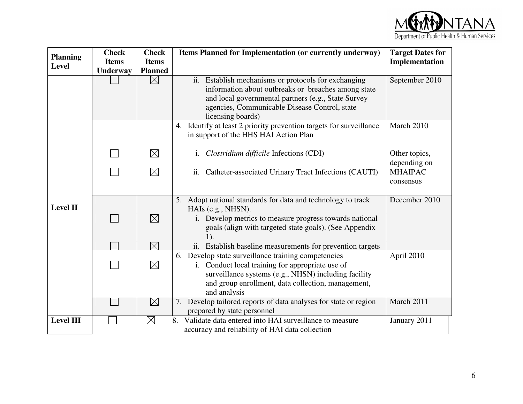

| <b>Planning</b>  | <b>Check</b>                    | <b>Check</b>                                                              | Items Planned for Implementation (or currently underway)                                                          | <b>Target Dates for</b> |  |  |
|------------------|---------------------------------|---------------------------------------------------------------------------|-------------------------------------------------------------------------------------------------------------------|-------------------------|--|--|
| <b>Level</b>     | <b>Items</b><br><b>Underway</b> | <b>Items</b><br><b>Planned</b>                                            |                                                                                                                   | Implementation          |  |  |
|                  |                                 | $\boxtimes$                                                               | ii. Establish mechanisms or protocols for exchanging                                                              | September 2010          |  |  |
|                  |                                 |                                                                           | information about outbreaks or breaches among state                                                               |                         |  |  |
|                  |                                 |                                                                           | and local governmental partners (e.g., State Survey<br>agencies, Communicable Disease Control, state              |                         |  |  |
|                  |                                 |                                                                           | licensing boards)                                                                                                 |                         |  |  |
|                  |                                 |                                                                           | 4. Identify at least 2 priority prevention targets for surveillance                                               | March 2010              |  |  |
|                  |                                 |                                                                           | in support of the HHS HAI Action Plan                                                                             |                         |  |  |
|                  |                                 | $\boxtimes$<br>i. Clostridium difficile Infections (CDI)<br>Other topics, |                                                                                                                   |                         |  |  |
|                  |                                 |                                                                           |                                                                                                                   | depending on            |  |  |
|                  |                                 | $\boxtimes$                                                               | ii. Catheter-associated Urinary Tract Infections (CAUTI)                                                          | <b>MHAIPAC</b>          |  |  |
|                  |                                 |                                                                           |                                                                                                                   | consensus               |  |  |
|                  |                                 |                                                                           | 5. Adopt national standards for data and technology to track                                                      | December 2010           |  |  |
| <b>Level II</b>  |                                 |                                                                           | HAIs (e.g., NHSN).                                                                                                |                         |  |  |
|                  |                                 | $\boxtimes$                                                               | i. Develop metrics to measure progress towards national<br>goals (align with targeted state goals). (See Appendix |                         |  |  |
|                  |                                 |                                                                           | 1).                                                                                                               |                         |  |  |
|                  |                                 | $\boxtimes$                                                               | ii. Establish baseline measurements for prevention targets                                                        |                         |  |  |
|                  |                                 |                                                                           | 6. Develop state surveillance training competencies                                                               | April 2010              |  |  |
|                  |                                 | $\boxtimes$                                                               | i. Conduct local training for appropriate use of<br>surveillance systems (e.g., NHSN) including facility          |                         |  |  |
|                  |                                 |                                                                           | and group enrollment, data collection, management,                                                                |                         |  |  |
|                  |                                 |                                                                           | and analysis                                                                                                      |                         |  |  |
|                  |                                 | $\boxtimes$                                                               | 7. Develop tailored reports of data analyses for state or region                                                  | March 2011              |  |  |
|                  |                                 |                                                                           | prepared by state personnel                                                                                       |                         |  |  |
| <b>Level III</b> |                                 | $\boxtimes$                                                               | Validate data entered into HAI surveillance to measure<br>8.                                                      | January 2011            |  |  |
|                  |                                 |                                                                           | accuracy and reliability of HAI data collection                                                                   |                         |  |  |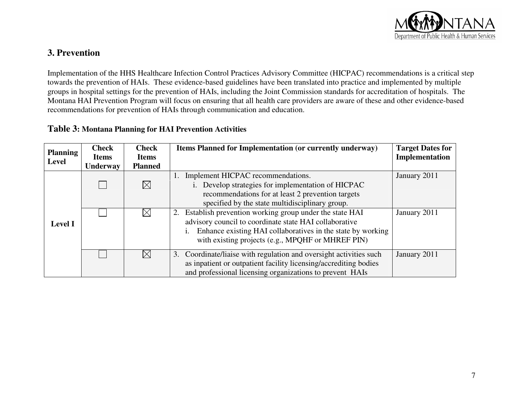

## **3. Prevention**

Implementation of the HHS Healthcare Infection Control Practices Advisory Committee (HICPAC) recommendations is a critical step towards the prevention of HAIs. These evidence-based guidelines have been translated into practice and implemented by multiple groups in hospital settings for the prevention of HAIs, including the Joint Commission standards for accreditation of hospitals. The Montana HAI Prevention Program will focus on ensuring that all health care providers are aware of these and other evidence-based recommendations for prevention of HAIs through communication and education.

## **Table 3: Montana Planning for HAI Prevention Activities**

| <b>Planning</b> | <b>Check</b><br><b>Items</b> | <b>Check</b><br><b>Items</b> | Items Planned for Implementation (or currently underway)           | <b>Target Dates for</b><br>Implementation |
|-----------------|------------------------------|------------------------------|--------------------------------------------------------------------|-------------------------------------------|
| <b>Level</b>    | <b>Underway</b>              | <b>Planned</b>               |                                                                    |                                           |
|                 |                              |                              | 1. Implement HICPAC recommendations.                               | January 2011                              |
|                 |                              | $\boxtimes$                  | Develop strategies for implementation of HICPAC                    |                                           |
|                 |                              |                              | recommendations for at least 2 prevention targets                  |                                           |
|                 |                              |                              | specified by the state multidisciplinary group.                    |                                           |
|                 |                              | $\boxtimes$                  | 2. Establish prevention working group under the state HAI          | January 2011                              |
| <b>Level I</b>  |                              |                              | advisory council to coordinate state HAI collaborative             |                                           |
|                 |                              |                              | Enhance existing HAI collaboratives in the state by working<br>1.  |                                           |
|                 |                              |                              | with existing projects (e.g., MPQHF or MHREF PIN)                  |                                           |
|                 |                              | $\times$                     | 3. Coordinate/liaise with regulation and oversight activities such | January 2011                              |
|                 |                              |                              | as inpatient or outpatient facility licensing/accrediting bodies   |                                           |
|                 |                              |                              | and professional licensing organizations to prevent HAIs           |                                           |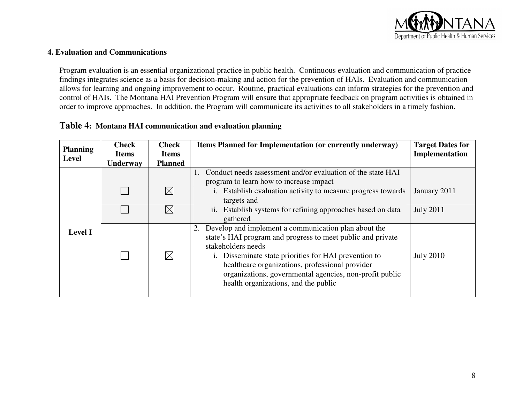

#### **4. Evaluation and Communications**

Program evaluation is an essential organizational practice in public health. Continuous evaluation and communication of practice findings integrates science as a basis for decision-making and action for the prevention of HAIs. Evaluation and communication allows for learning and ongoing improvement to occur. Routine, practical evaluations can inform strategies for the prevention and control of HAIs. The Montana HAI Prevention Program will ensure that appropriate feedback on program activities is obtained in order to improve approaches. In addition, the Program will communicate its activities to all stakeholders in a timely fashion.

### **Table 4: Montana HAI communication and evaluation planning**

| <b>Planning</b><br><b>Level</b> | <b>Check</b><br><b>Items</b> | <b>Check</b><br><b>Items</b> | Items Planned for Implementation (or currently underway)                                                                                                                                                                                                                                                                                                 | <b>Target Dates for</b><br>Implementation |
|---------------------------------|------------------------------|------------------------------|----------------------------------------------------------------------------------------------------------------------------------------------------------------------------------------------------------------------------------------------------------------------------------------------------------------------------------------------------------|-------------------------------------------|
|                                 | <b>Underway</b>              | <b>Planned</b>               |                                                                                                                                                                                                                                                                                                                                                          |                                           |
|                                 |                              |                              | Conduct needs assessment and/or evaluation of the state HAI<br>1.<br>program to learn how to increase impact                                                                                                                                                                                                                                             |                                           |
|                                 |                              | $\boxtimes$                  | i. Establish evaluation activity to measure progress towards<br>targets and                                                                                                                                                                                                                                                                              | January 2011                              |
|                                 |                              | $\boxtimes$                  | ii. Establish systems for refining approaches based on data<br>gathered                                                                                                                                                                                                                                                                                  | <b>July 2011</b>                          |
| <b>Level I</b>                  |                              | $\boxtimes$                  | Develop and implement a communication plan about the<br>state's HAI program and progress to meet public and private<br>stakeholders needs<br>i. Disseminate state priorities for HAI prevention to<br>healthcare organizations, professional provider<br>organizations, governmental agencies, non-profit public<br>health organizations, and the public | <b>July 2010</b>                          |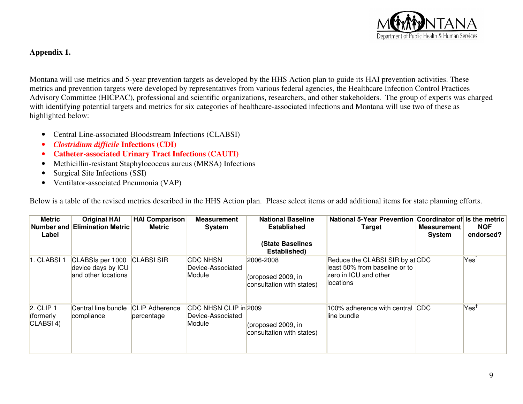

## **Appendix 1.**

Montana will use metrics and 5-year prevention targets as developed by the HHS Action plan to guide its HAI prevention activities. These metrics and prevention targets were developed by representatives from various federal agencies, the Healthcare Infection Control Practices Advisory Committee (HICPAC), professional and scientific organizations, researchers, and other stakeholders. The group of experts was charged with identifying potential targets and metrics for six categories of healthcare-associated infections and Montana will use two of these as highlighted below:

- Central Line-associated Bloodstream Infections (CLABSI)
- $\bullet$ *Clostridium difficile* **Infections (CDI)**
- •**Catheter-associated Urinary Tract Infections (CAUTI)**
- $\bullet$ Methicillin-resistant Staphylococcus aureus (MRSA) Infections
- •Surgical Site Infections (SSI)
- Ventilator-associated Pneumonia (VAP)

Below is a table of the revised metrics described in the HHS Action plan. Please select items or add additional items for state planning efforts.

| <b>Metric</b><br>Label                            | <b>Original HAI</b><br><b>Number and Elimination Metric</b>   | <b>HAI Comparison</b><br>Metric     | <b>Measurement</b><br><b>System</b>                  | <b>National Baseline</b><br><b>Established</b><br><b>(State Baselines</b><br>Established) | National 5-Year Prevention Coordinator of Is the metric<br><b>Target</b>                                | <b>Measurement</b><br>System | <b>NQF</b><br>endorsed?  |
|---------------------------------------------------|---------------------------------------------------------------|-------------------------------------|------------------------------------------------------|-------------------------------------------------------------------------------------------|---------------------------------------------------------------------------------------------------------|------------------------------|--------------------------|
| 1. CLABSI 1                                       | CLABSIs per 1000<br>device days by ICU<br>and other locations | <b>CLABSI SIR</b>                   | <b>CDC NHSN</b><br>Device-Associated<br>Module       | 2006-2008<br>(proposed 2009, in<br>consultation with states)                              | Reduce the CLABSI SIR by at CDC<br>lleast 50% from baseline or to<br>zero in ICU and other<br>locations |                              | Yes                      |
| $2.$ CLIP 1<br>(formerly<br>CLABSI <sub>4</sub> ) | Central line bundle<br>compliance                             | <b>CLIP Adherence</b><br>percentage | CDC NHSN CLIP in 2009<br>Device-Associated<br>Module | (proposed 2009, in<br>consultation with states)                                           | 100% adherence with central<br>lline bundle                                                             | <b>CDC</b>                   | $\mathsf{Yes}^\intercal$ |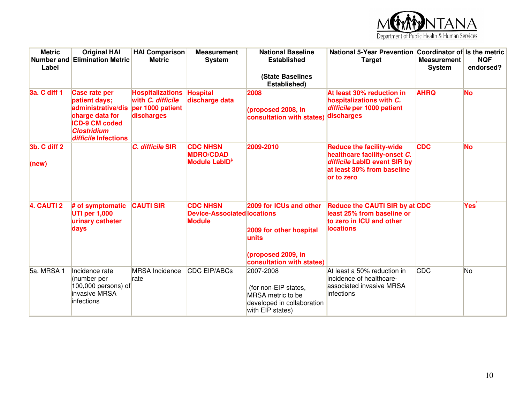

| <b>Metric</b><br>Label | <b>Original HAI</b><br><b>Number and Elimination Metric</b>                                                                                           | <b>HAI Comparison</b><br><b>Metric</b>                                         | <b>Measurement</b><br><b>System</b>                                    | <b>National Baseline</b><br><b>Established</b>                                                                  | National 5-Year Prevention Coordinator of Is the metric<br><b>Target</b>                                                                    | <b>Measurement</b><br>System | <b>NQF</b><br>endorsed? |
|------------------------|-------------------------------------------------------------------------------------------------------------------------------------------------------|--------------------------------------------------------------------------------|------------------------------------------------------------------------|-----------------------------------------------------------------------------------------------------------------|---------------------------------------------------------------------------------------------------------------------------------------------|------------------------------|-------------------------|
|                        |                                                                                                                                                       |                                                                                |                                                                        | <b>(State Baselines</b><br>Established)                                                                         |                                                                                                                                             |                              |                         |
| 3a. C diff 1           | <b>Case rate per</b><br>patient days;<br>administrative/dis<br>charge data for<br><b>ICD-9 CM coded</b><br><b>Clostridium</b><br>difficile Infections | <b>Hospitalizations</b><br>with C. difficile<br>per 1000 patient<br>discharges | <b>Hospital</b><br>discharge data                                      | 2008<br>(proposed 2008, in<br>consultation with states)                                                         | At least 30% reduction in<br>hospitalizations with C.<br>difficile per 1000 patient<br>discharges                                           | <b>AHRQ</b>                  | <b>No</b>               |
| 3b. C diff 2<br>(new)  |                                                                                                                                                       | C. difficile SIR                                                               | <b>CDC NHSN</b><br><b>MDRO/CDAD</b><br>Module LabID <sup>#</sup>       | 2009-2010                                                                                                       | <b>Reduce the facility-wide</b><br>healthcare facility-onset C.<br>difficile LabID event SIR by<br>at least 30% from baseline<br>or to zero | <b>CDC</b>                   | <b>No</b>               |
| 4. CAUTI 2             | # of symptomatic<br><b>UTI per 1,000</b><br>urinary catheter<br>days                                                                                  | <b>CAUTI SIR</b>                                                               | <b>CDC NHSN</b><br><b>Device-Associated locations</b><br><b>Module</b> | 2009 for ICUs and other<br>2009 for other hospital<br>lunits<br>(proposed 2009, in<br>consultation with states) | Reduce the CAUTI SIR by at CDC<br>least 25% from baseline or<br>to zero in ICU and other<br><b>locations</b>                                |                              | Yesî                    |
| 5a. MRSA 1             | Incidence rate<br>(number per<br>100,000 persons) of<br>invasive MRSA<br>infections                                                                   | <b>MRSA</b> Incidence<br>rate                                                  | <b>CDC EIP/ABCs</b>                                                    | 2007-2008<br>(for non-EIP states,<br>MRSA metric to be<br>developed in collaboration<br>with EIP states)        | At least a 50% reduction in<br>incidence of healthcare-<br>associated invasive MRSA<br>infections                                           | CDC                          | <b>No</b>               |